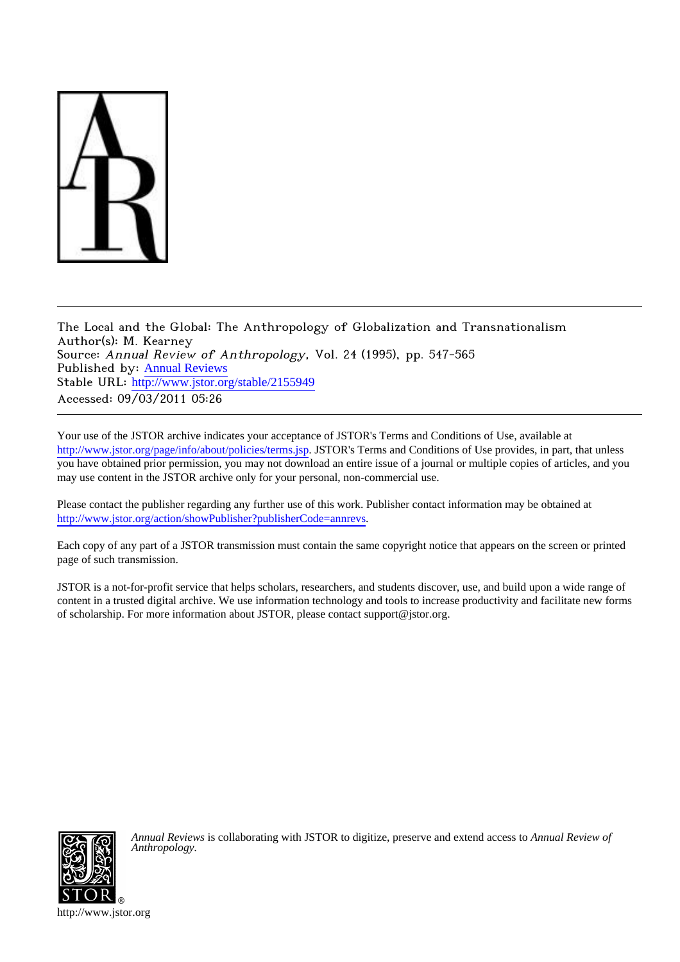

The Local and the Global: The Anthropology of Globalization and Transnationalism Author(s): M. Kearney Source: Annual Review of Anthropology, Vol. 24 (1995), pp. 547-565 Published by: [Annual Reviews](http://www.jstor.org/action/showPublisher?publisherCode=annrevs) Stable URL: [http://www.jstor.org/stable/2155949](http://www.jstor.org/stable/2155949?origin=JSTOR-pdf) Accessed: 09/03/2011 05:26

Your use of the JSTOR archive indicates your acceptance of JSTOR's Terms and Conditions of Use, available at <http://www.jstor.org/page/info/about/policies/terms.jsp>. JSTOR's Terms and Conditions of Use provides, in part, that unless you have obtained prior permission, you may not download an entire issue of a journal or multiple copies of articles, and you may use content in the JSTOR archive only for your personal, non-commercial use.

Please contact the publisher regarding any further use of this work. Publisher contact information may be obtained at <http://www.jstor.org/action/showPublisher?publisherCode=annrevs>. .

Each copy of any part of a JSTOR transmission must contain the same copyright notice that appears on the screen or printed page of such transmission.

JSTOR is a not-for-profit service that helps scholars, researchers, and students discover, use, and build upon a wide range of content in a trusted digital archive. We use information technology and tools to increase productivity and facilitate new forms of scholarship. For more information about JSTOR, please contact support@jstor.org.



*Annual Reviews* is collaborating with JSTOR to digitize, preserve and extend access to *Annual Review of Anthropology.*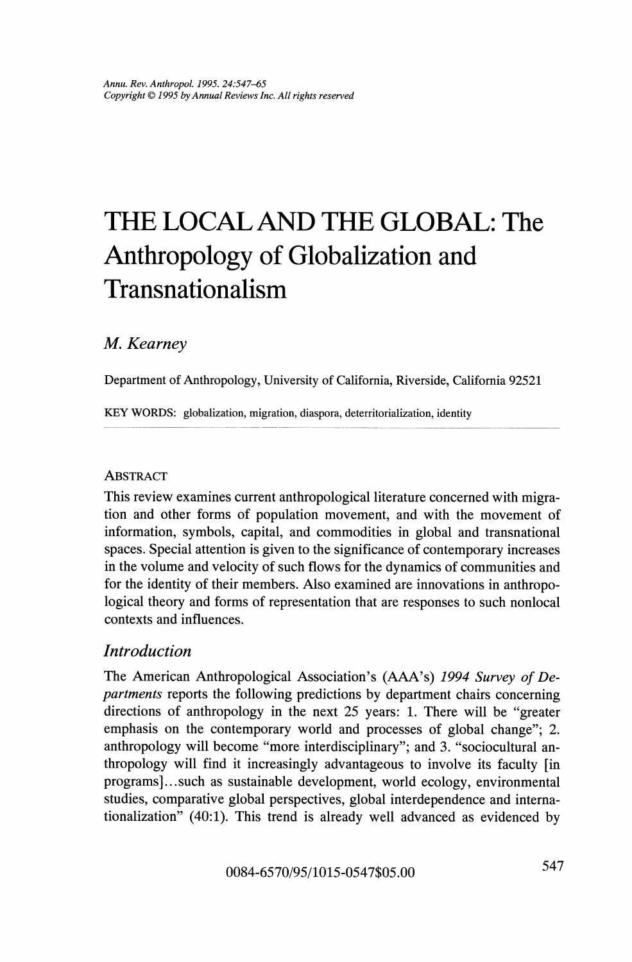# THE LOCAL AND THE GLOBAL: The Anthropology of Globalization and Transnationalism

# M. Kearney

Department of Anthropology, University of California, Riverside, California 92521

KEY WORDS: globalization, migration, diaspora, deterritorialization, identity

## **ABSTRACT**

This review examines current anthropological literature concerned with migration and other forms of population movement, and with the movement of information, symbols, capital, and commodities in global and transnational spaces. Special attention is given to the significance of contemporary increases in the volume and velocity of such flows for the dynamics of communities and for the identity of their members. Also examined are innovations in anthropological theory and forms of representation that are responses to such nonlocal contexts and influences.

# **Introduction**

The American Anthropological Association's (AAA's) 1994 Survey of Departments reports the following predictions by department chairs concerning directions of anthropology in the next 25 years: 1. There will be "greater emphasis on the contemporary world and processes of global change": 2. anthropology will become "more interdisciplinary"; and 3. "sociocultural anthropology will find it increasingly advantageous to involve its faculty [in programs]...such as sustainable development, world ecology, environmental studies, comparative global perspectives, global interdependence and internationalization" (40:1). This trend is already well advanced as evidenced by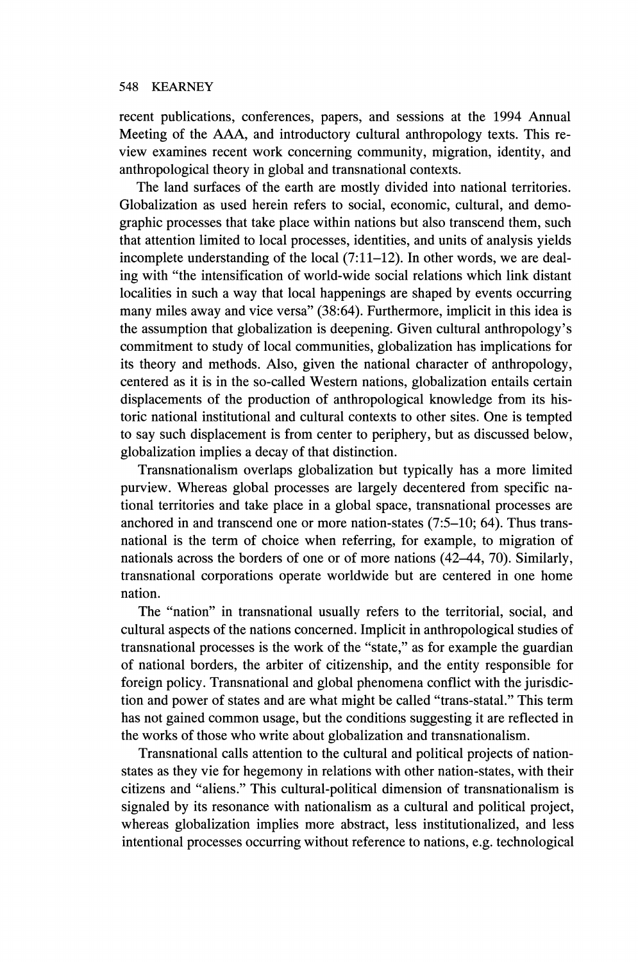recent publications, conferences, papers, and sessions at the 1994 Annual Meeting of the AAA, and introductory cultural anthropology texts. This review examines recent work concerning community, migration, identity, and anthropological theory in global and transnational contexts.

The land surfaces of the earth are mostly divided into national territories. Globalization as used herein refers to social, economic, cultural, and demographic processes that take place within nations but also transcend them, such that attention limited to local processes, identities, and units of analysis yields incomplete understanding of the local (7:11-12). In other words, we are dealing with "the intensification of world-wide social relations which link distant localities in such a way that local happenings are shaped by events occurring many miles away and vice versa" (38:64). Furthermore, implicit in this idea is the assumption that globalization is deepening. Given cultural anthropology's commitment to study of local communities, globalization has implications for its theory and methods. Also, given the national character of anthropology, centered as it is in the so-called Western nations, globalization entails certain displacements of the production of anthropological knowledge from its historic national institutional and cultural contexts to other sites. One is tempted to say such displacement is from center to periphery, but as discussed below, globalization implies a decay of that distinction.

Transnationalism overlaps globalization but typically has a more limited purview. Whereas global processes are largely decentered from specific national territories and take place in a global space, transnational processes are anchored in and transcend one or more nation-states  $(7:5-10; 64)$ . Thus transnational is the term of choice when referring, for example, to migration of nationals across the borders of one or of more nations (42–44, 70). Similarly, transnational corporations operate worldwide but are centered in one home nation.

The "nation" in transnational usually refers to the territorial, social, and cultural aspects of the nations concerned. Implicit in anthropological studies of transnational processes is the work of the "state," as for example the guardian of national borders, the arbiter of citizenship, and the entity responsible for foreign policy. Transnational and global phenomena conflict with the jurisdiction and power of states and are what might be called "trans-statal." This term has not gained common usage, but the conditions suggesting it are reflected in the works of those who write about globalization and transnationalism.

Transnational calls attention to the cultural and political projects of nationstates as they vie for hegemony in relations with other nation-states, with their citizens and "aliens." This cultural-political dimension of transnationalism is signaled by its resonance with nationalism as a cultural and political project, whereas globalization implies more abstract, less institutionalized, and less intentional processes occurring without reference to nations, e.g. technological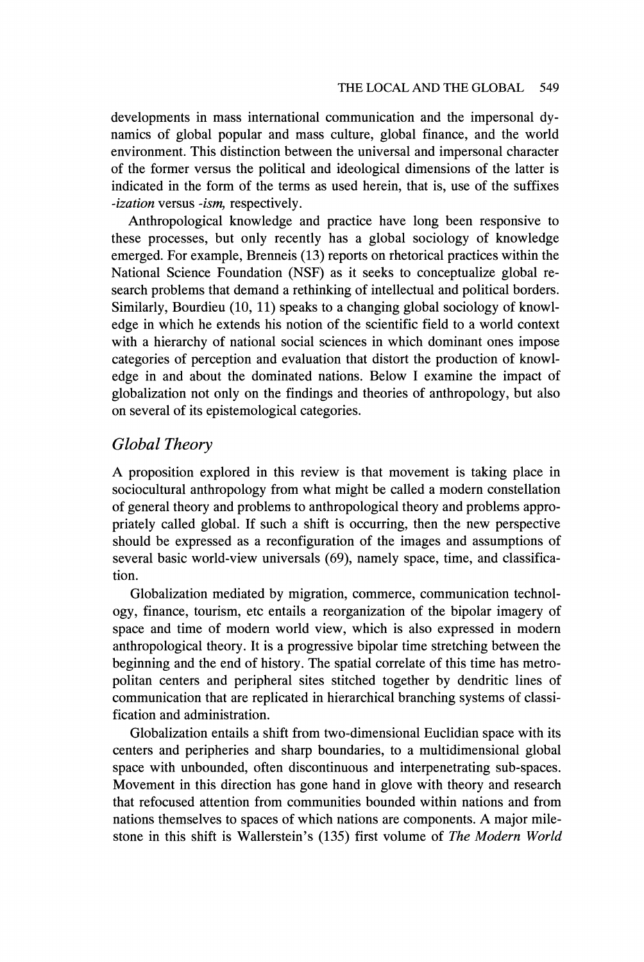developments in mass international communication and the impersonal dynamics of global popular and mass culture, global finance, and the world environment. This distinction between the universal and impersonal character of the former versus the political and ideological dimensions of the latter is indicated in the form of the terms as used herein, that is, use of the suffixes *-ization* versus *-ism*, respectively.

Anthropological knowledge and practice have long been responsive to these processes, but only recently has a global sociology of knowledge emerged. For example, Brenneis (13) reports on rhetorical practices within the National Science Foundation (NSF) as it seeks to conceptualize global research problems that demand a rethinking of intellectual and political borders. Similarly, Bourdieu (10, 11) speaks to a changing global sociology of knowledge in which he extends his notion of the scientific field to a world context with a hierarchy of national social sciences in which dominant ones impose categories of perception and evaluation that distort the production of knowledge in and about the dominated nations. Below I examine the impact of globalization not only on the findings and theories of anthropology, but also on several of its epistemological categories.

## **Global Theory**

A proposition explored in this review is that movement is taking place in sociocultural anthropology from what might be called a modern constellation of general theory and problems to anthropological theory and problems appropriately called global. If such a shift is occurring, then the new perspective should be expressed as a reconfiguration of the images and assumptions of several basic world-view universals (69), namely space, time, and classification.

Globalization mediated by migration, commerce, communication technology, finance, tourism, etc entails a reorganization of the bipolar imagery of space and time of modern world view, which is also expressed in modern anthropological theory. It is a progressive bipolar time stretching between the beginning and the end of history. The spatial correlate of this time has metropolitan centers and peripheral sites stitched together by dendritic lines of communication that are replicated in hierarchical branching systems of classification and administration.

Globalization entails a shift from two-dimensional Euclidian space with its centers and peripheries and sharp boundaries, to a multidimensional global space with unbounded, often discontinuous and interpenetrating sub-spaces. Movement in this direction has gone hand in glove with theory and research that refocused attention from communities bounded within nations and from nations themselves to spaces of which nations are components. A major milestone in this shift is Wallerstein's (135) first volume of The Modern World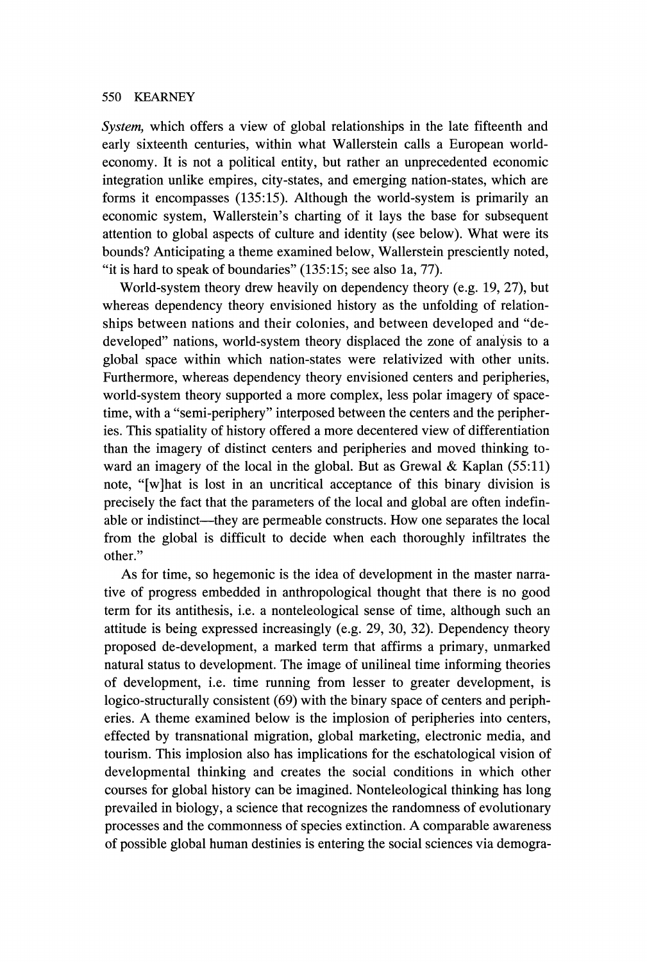System, which offers a view of global relationships in the late fifteenth and early sixteenth centuries, within what Wallerstein calls a European worldeconomy. It is not a political entity, but rather an unprecedented economic integration unlike empires, city-states, and emerging nation-states, which are forms it encompasses  $(135:15)$ . Although the world-system is primarily an economic system, Wallerstein's charting of it lays the base for subsequent attention to global aspects of culture and identity (see below). What were its bounds? Anticipating a theme examined below, Wallerstein presciently noted, "it is hard to speak of boundaries" (135:15; see also 1a, 77).

World-system theory drew heavily on dependency theory (e.g. 19, 27), but whereas dependency theory envisioned history as the unfolding of relationships between nations and their colonies, and between developed and "dedeveloped" nations, world-system theory displaced the zone of analysis to a global space within which nation-states were relativized with other units. Furthermore, whereas dependency theory envisioned centers and peripheries, world-system theory supported a more complex, less polar imagery of spacetime, with a "semi-periphery" interposed between the centers and the peripheries. This spatiality of history offered a more decentered view of differentiation than the imagery of distinct centers and peripheries and moved thinking toward an imagery of the local in the global. But as Grewal & Kaplan  $(55:11)$ note, "[w]hat is lost in an uncritical acceptance of this binary division is precisely the fact that the parameters of the local and global are often indefinable or indistinct—they are permeable constructs. How one separates the local from the global is difficult to decide when each thoroughly infiltrates the other."

As for time, so hegemonic is the idea of development in the master narrative of progress embedded in anthropological thought that there is no good term for its antithesis, i.e. a nonteleological sense of time, although such an attitude is being expressed increasingly (e.g. 29, 30, 32). Dependency theory proposed de-development, a marked term that affirms a primary, unmarked natural status to development. The image of unilineal time informing theories of development, i.e. time running from lesser to greater development, is logico-structurally consistent (69) with the binary space of centers and peripheries. A theme examined below is the implosion of peripheries into centers, effected by transnational migration, global marketing, electronic media, and tourism. This implosion also has implications for the eschatological vision of developmental thinking and creates the social conditions in which other courses for global history can be imagined. Nonteleological thinking has long prevailed in biology, a science that recognizes the randomness of evolutionary processes and the commonness of species extinction. A comparable awareness of possible global human destinies is entering the social sciences via demogra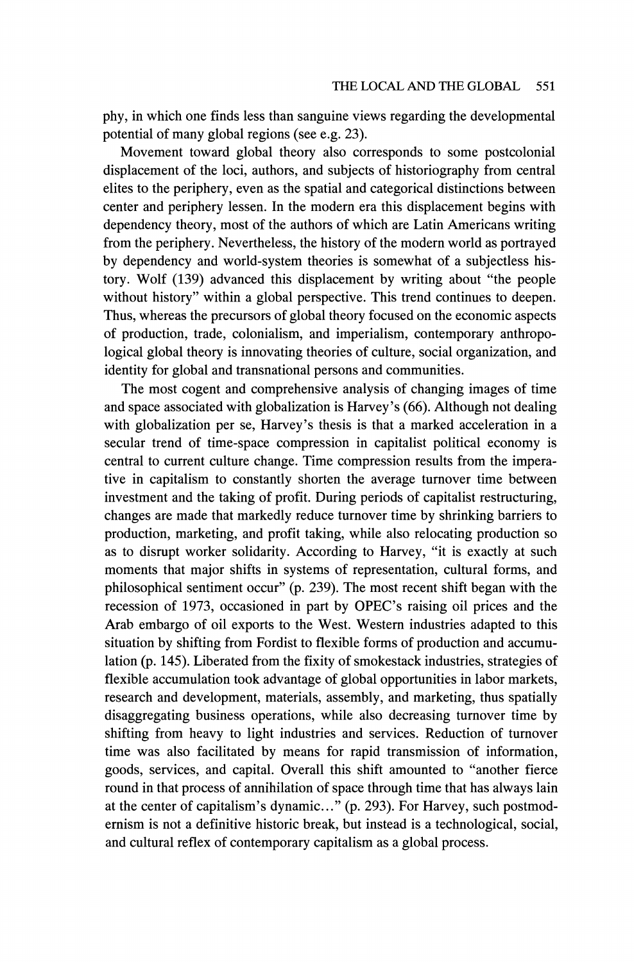phy, in which one finds less than sanguine views regarding the developmental potential of many global regions (see e.g. 23).

Movement toward global theory also corresponds to some postcolonial displacement of the loci, authors, and subjects of historiography from central elites to the periphery, even as the spatial and categorical distinctions between center and periphery lessen. In the modern era this displacement begins with dependency theory, most of the authors of which are Latin Americans writing from the periphery. Nevertheless, the history of the modern world as portrayed by dependency and world-system theories is somewhat of a subjectless history. Wolf (139) advanced this displacement by writing about "the people without history" within a global perspective. This trend continues to deepen. Thus, whereas the precursors of global theory focused on the economic aspects of production, trade, colonialism, and imperialism, contemporary anthropological global theory is innovating theories of culture, social organization, and identity for global and transnational persons and communities.

The most cogent and comprehensive analysis of changing images of time and space associated with globalization is Harvey's (66). Although not dealing with globalization per se, Harvey's thesis is that a marked acceleration in a secular trend of time-space compression in capitalist political economy is central to current culture change. Time compression results from the imperative in capitalism to constantly shorten the average turnover time between investment and the taking of profit. During periods of capitalist restructuring, changes are made that markedly reduce turnover time by shrinking barriers to production, marketing, and profit taking, while also relocating production so as to disrupt worker solidarity. According to Harvey, "it is exactly at such moments that major shifts in systems of representation, cultural forms, and philosophical sentiment occur" (p. 239). The most recent shift began with the recession of 1973, occasioned in part by OPEC's raising oil prices and the Arab embargo of oil exports to the West. Western industries adapted to this situation by shifting from Fordist to flexible forms of production and accumulation (p. 145). Liberated from the fixity of smokestack industries, strategies of flexible accumulation took advantage of global opportunities in labor markets, research and development, materials, assembly, and marketing, thus spatially disaggregating business operations, while also decreasing turnover time by shifting from heavy to light industries and services. Reduction of turnover time was also facilitated by means for rapid transmission of information, goods, services, and capital. Overall this shift amounted to "another fierce round in that process of annihilation of space through time that has always lain at the center of capitalism's dynamic..." (p. 293). For Harvey, such postmodernism is not a definitive historic break, but instead is a technological, social, and cultural reflex of contemporary capitalism as a global process.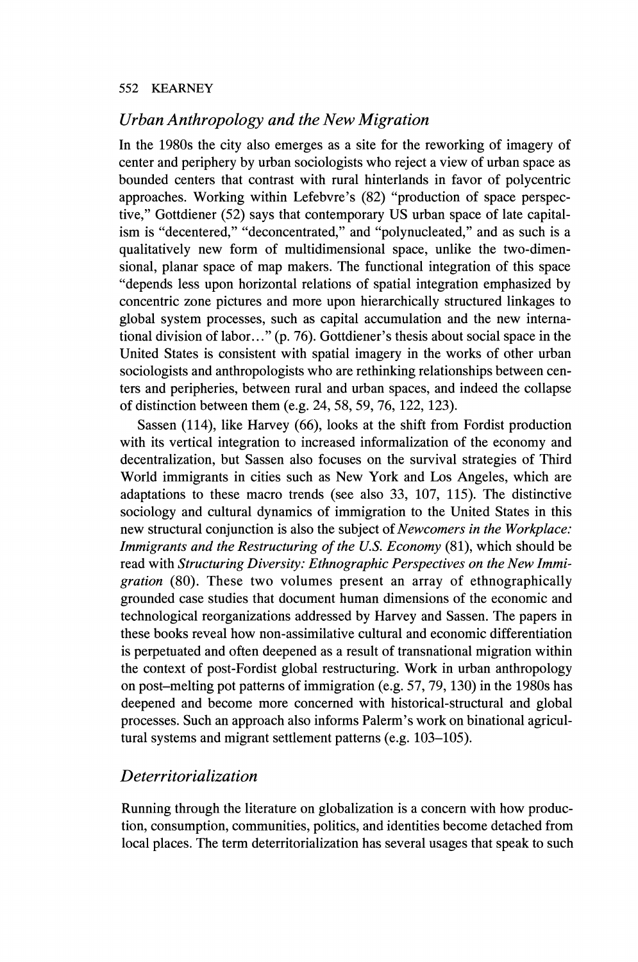# Urban Anthropology and the New Migration

In the 1980s the city also emerges as a site for the reworking of imagery of center and periphery by urban sociologists who reject a view of urban space as bounded centers that contrast with rural hinterlands in favor of polycentric approaches. Working within Lefebvre's (82) "production of space perspective," Gottdiener (52) says that contemporary US urban space of late capitalism is "decentered," "deconcentrated," and "polynucleated," and as such is a qualitatively new form of multidimensional space, unlike the two-dimensional, planar space of map makers. The functional integration of this space "depends less upon horizontal relations of spatial integration emphasized by concentric zone pictures and more upon hierarchically structured linkages to global system processes, such as capital accumulation and the new international division of labor..." (p. 76). Gottdiener's thesis about social space in the United States is consistent with spatial imagery in the works of other urban sociologists and anthropologists who are rethinking relationships between centers and peripheries, between rural and urban spaces, and indeed the collapse of distinction between them (e.g. 24, 58, 59, 76, 122, 123).

Sassen (114), like Harvey (66), looks at the shift from Fordist production with its vertical integration to increased informalization of the economy and decentralization, but Sassen also focuses on the survival strategies of Third World immigrants in cities such as New York and Los Angeles, which are adaptations to these macro trends (see also 33, 107, 115). The distinctive sociology and cultural dynamics of immigration to the United States in this new structural conjunction is also the subject of Newcomers in the Workplace: Immigrants and the Restructuring of the U.S. Economy (81), which should be read with Structuring Diversity: Ethnographic Perspectives on the New Immigration (80). These two volumes present an array of ethnographically grounded case studies that document human dimensions of the economic and technological reorganizations addressed by Harvey and Sassen. The papers in these books reveal how non-assimilative cultural and economic differentiation is perpetuated and often deepened as a result of transnational migration within the context of post-Fordist global restructuring. Work in urban anthropology on post-melting pot patterns of immigration (e.g. 57, 79, 130) in the 1980s has deepened and become more concerned with historical-structural and global processes. Such an approach also informs Palerm's work on binational agricultural systems and migrant settlement patterns (e.g. 103-105).

# *Deterritorialization*

Running through the literature on globalization is a concern with how production, consumption, communities, politics, and identities become detached from local places. The term deterritorialization has several usages that speak to such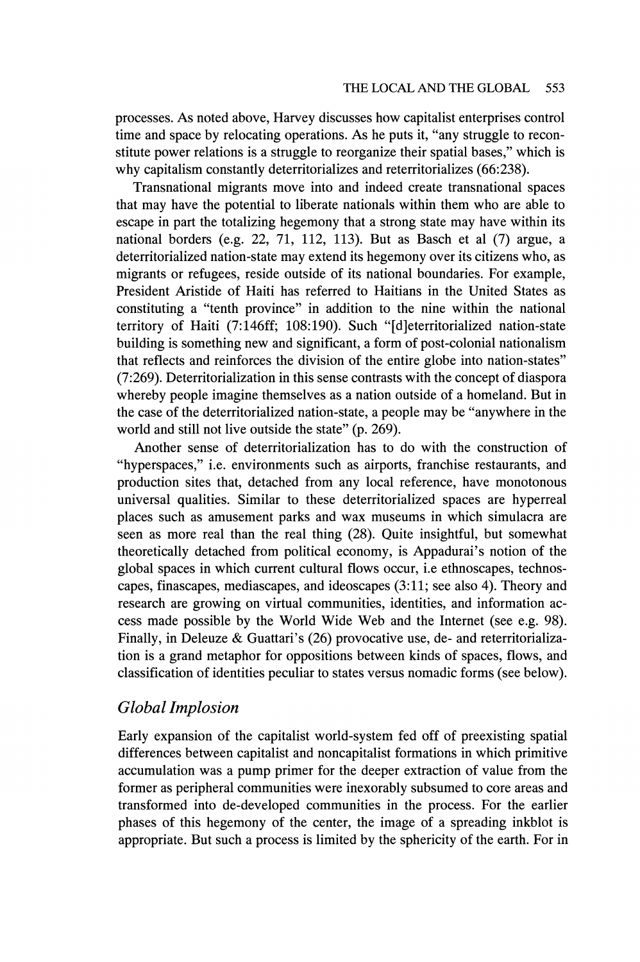processes. As noted above, Harvey discusses how capitalist enterprises control time and space by relocating operations. As he puts it, "any struggle to reconstitute power relations is a struggle to reorganize their spatial bases," which is why capitalism constantly deterritorializes and reterritorializes (66:238).

Transnational migrants move into and indeed create transnational spaces that may have the potential to liberate nationals within them who are able to escape in part the totalizing hegemony that a strong state may have within its national borders (e.g. 22, 71, 112, 113). But as Basch et al (7) argue, a deterritorialized nation-state may extend its hegemony over its citizens who, as migrants or refugees, reside outside of its national boundaries. For example, President Aristide of Haiti has referred to Haitians in the United States as constituting a "tenth province" in addition to the nine within the national territory of Haiti (7:146ff; 108:190). Such "[d]eterritorialized nation-state building is something new and significant, a form of post-colonial nationalism that reflects and reinforces the division of the entire globe into nation-states" (7:269). Deterritorialization in this sense contrasts with the concept of diaspora whereby people imagine themselves as a nation outside of a homeland. But in the case of the deterritorialized nation-state, a people may be "anywhere in the world and still not live outside the state" (p. 269).

Another sense of deterritorialization has to do with the construction of "hyperspaces," i.e. environments such as airports, franchise restaurants, and production sites that, detached from any local reference, have monotonous universal qualities. Similar to these deterritorialized spaces are hyperreal places such as amusement parks and wax museums in which simulacra are seen as more real than the real thing (28). Quite insightful, but somewhat theoretically detached from political economy, is Appadurai's notion of the global spaces in which current cultural flows occur, i.e ethnoscapes, technoscapes, finascapes, mediascapes, and ideoscapes (3:11; see also 4). Theory and research are growing on virtual communities, identities, and information access made possible by the World Wide Web and the Internet (see e.g. 98). Finally, in Deleuze & Guattari's (26) provocative use, de- and reterritorialization is a grand metaphor for oppositions between kinds of spaces, flows, and classification of identities peculiar to states versus nomadic forms (see below).

# **Global Implosion**

Early expansion of the capitalist world-system fed off of preexisting spatial differences between capitalist and noncapitalist formations in which primitive accumulation was a pump primer for the deeper extraction of value from the former as peripheral communities were inexorably subsumed to core areas and transformed into de-developed communities in the process. For the earlier phases of this hegemony of the center, the image of a spreading inkblot is appropriate. But such a process is limited by the sphericity of the earth. For in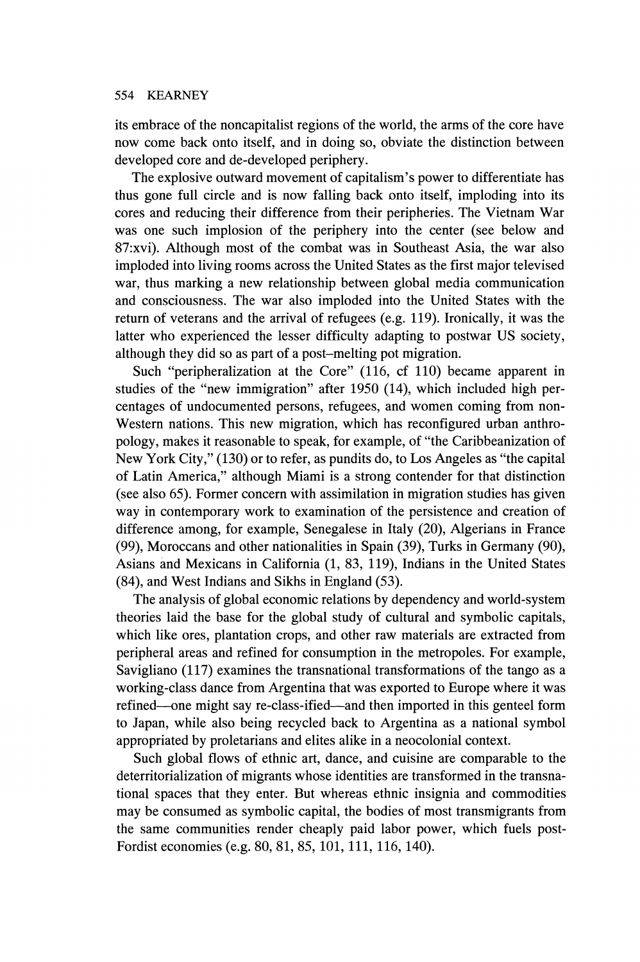its embrace of the noncapitalist regions of the world, the arms of the core have now come back onto itself, and in doing so, obviate the distinction between developed core and de-developed periphery.

The explosive outward movement of capitalism's power to differentiate has thus gone full circle and is now falling back onto itself, imploding into its cores and reducing their difference from their peripheries. The Vietnam War was one such implosion of the periphery into the center (see below and 87:xvi). Although most of the combat was in Southeast Asia, the war also imploded into living rooms across the United States as the first major televised war, thus marking a new relationship between global media communication and consciousness. The war also imploded into the United States with the return of veterans and the arrival of refugees (e.g. 119). Ironically, it was the latter who experienced the lesser difficulty adapting to postwar US society, although they did so as part of a post-melting pot migration.

Such "peripheralization at the Core" (116, cf 110) became apparent in studies of the "new immigration" after 1950 (14), which included high percentages of undocumented persons, refugees, and women coming from non-Western nations. This new migration, which has reconfigured urban anthropology, makes it reasonable to speak, for example, of "the Caribbeanization of New York City," (130) or to refer, as pundits do, to Los Angeles as "the capital of Latin America," although Miami is a strong contender for that distinction (see also 65). Former concern with assimilation in migration studies has given way in contemporary work to examination of the persistence and creation of difference among, for example, Senegalese in Italy (20), Algerians in France (99), Moroccans and other nationalities in Spain (39), Turks in Germany (90), Asians and Mexicans in California (1, 83, 119), Indians in the United States (84), and West Indians and Sikhs in England (53).

The analysis of global economic relations by dependency and world-system theories laid the base for the global study of cultural and symbolic capitals, which like ores, plantation crops, and other raw materials are extracted from peripheral areas and refined for consumption in the metropoles. For example, Savigliano (117) examines the transnational transformations of the tango as a working-class dance from Argentina that was exported to Europe where it was refined—one might say re-class-ified—and then imported in this genteel form to Japan, while also being recycled back to Argentina as a national symbol appropriated by proletarians and elites alike in a neocolonial context.

Such global flows of ethnic art, dance, and cuisine are comparable to the deterritorialization of migrants whose identities are transformed in the transnational spaces that they enter. But whereas ethnic insignia and commodities may be consumed as symbolic capital, the bodies of most transmigrants from the same communities render cheaply paid labor power, which fuels post-Fordist economies (e.g. 80, 81, 85, 101, 111, 116, 140).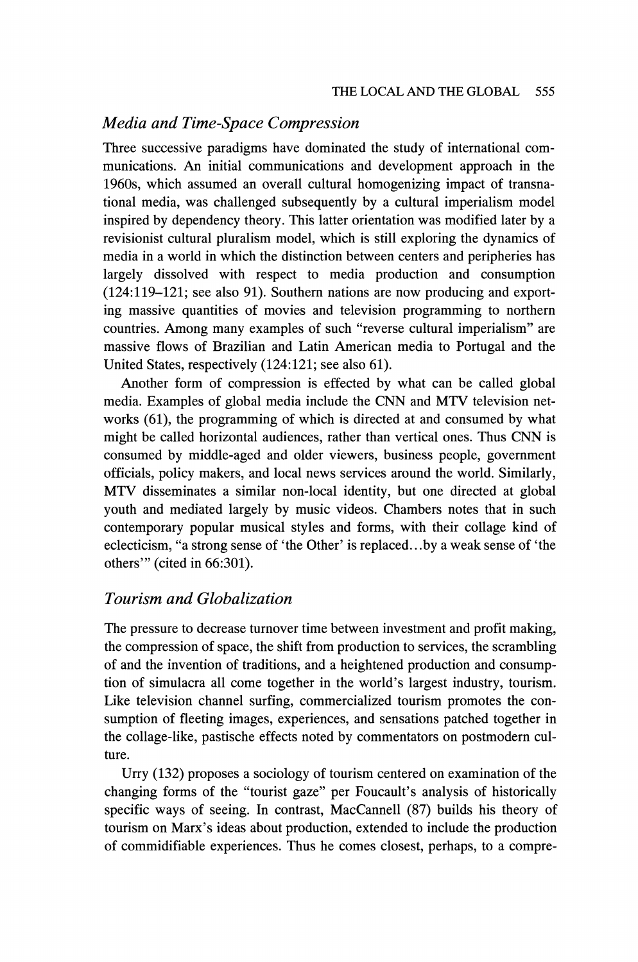## Media and Time-Space Compression

Three successive paradigms have dominated the study of international communications. An initial communications and development approach in the 1960s, which assumed an overall cultural homogenizing impact of transnational media, was challenged subsequently by a cultural imperialism model inspired by dependency theory. This latter orientation was modified later by a revisionist cultural pluralism model, which is still exploring the dynamics of media in a world in which the distinction between centers and peripheries has largely dissolved with respect to media production and consumption  $(124:119-121;$  see also 91). Southern nations are now producing and exporting massive quantities of movies and television programming to northern countries. Among many examples of such "reverse cultural imperialism" are massive flows of Brazilian and Latin American media to Portugal and the United States, respectively (124:121; see also 61).

Another form of compression is effected by what can be called global media. Examples of global media include the CNN and MTV television networks (61), the programming of which is directed at and consumed by what might be called horizontal audiences, rather than vertical ones. Thus CNN is consumed by middle-aged and older viewers, business people, government officials, policy makers, and local news services around the world. Similarly, MTV disseminates a similar non-local identity, but one directed at global youth and mediated largely by music videos. Chambers notes that in such contemporary popular musical styles and forms, with their collage kind of eclecticism, "a strong sense of 'the Other' is replaced...by a weak sense of 'the others" (cited in 66:301).

# Tourism and Globalization

The pressure to decrease turnover time between investment and profit making, the compression of space, the shift from production to services, the scrambling of and the invention of traditions, and a heightened production and consumption of simulacra all come together in the world's largest industry, tourism. Like television channel surfing, commercialized tourism promotes the consumption of fleeting images, experiences, and sensations patched together in the collage-like, pastische effects noted by commentators on postmodern culture.

Urry (132) proposes a sociology of tourism centered on examination of the changing forms of the "tourist gaze" per Foucault's analysis of historically specific ways of seeing. In contrast, MacCannell (87) builds his theory of tourism on Marx's ideas about production, extended to include the production of commidifiable experiences. Thus he comes closest, perhaps, to a compre-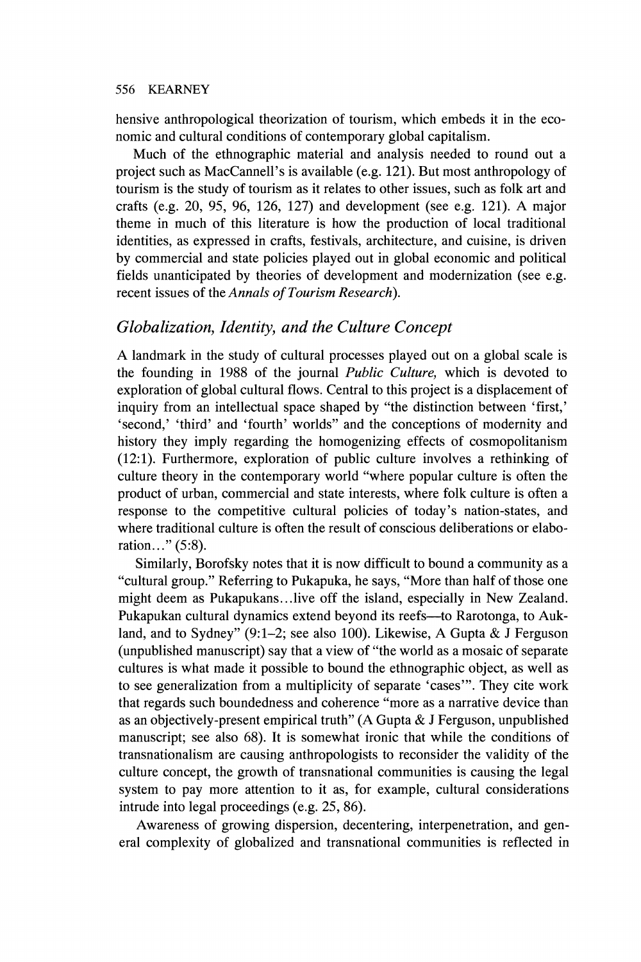hensive anthropological theorization of tourism, which embeds it in the economic and cultural conditions of contemporary global capitalism.

Much of the ethnographic material and analysis needed to round out a project such as MacCannell's is available (e.g. 121). But most anthropology of tourism is the study of tourism as it relates to other issues, such as folk art and crafts (e.g. 20, 95, 96, 126, 127) and development (see e.g. 121). A major theme in much of this literature is how the production of local traditional identities, as expressed in crafts, festivals, architecture, and cuisine, is driven by commercial and state policies played out in global economic and political fields unanticipated by theories of development and modernization (see e.g. recent issues of the Annals of Tourism Research).

## Globalization, Identity, and the Culture Concept

A landmark in the study of cultural processes played out on a global scale is the founding in 1988 of the journal *Public Culture*, which is devoted to exploration of global cultural flows. Central to this project is a displacement of inquiry from an intellectual space shaped by "the distinction between 'first,' 'second,' 'third' and 'fourth' worlds" and the conceptions of modernity and history they imply regarding the homogenizing effects of cosmopolitanism (12.1). Furthermore, exploration of public culture involves a rethinking of culture theory in the contemporary world "where popular culture is often the product of urban, commercial and state interests, where folk culture is often a response to the competitive cultural policies of today's nation-states, and where traditional culture is often the result of conscious deliberations or elaboration..." (5:8).

Similarly, Borofsky notes that it is now difficult to bound a community as a "cultural group." Referring to Pukapuka, he says, "More than half of those one might deem as Pukapukans...live off the island, especially in New Zealand. Pukapukan cultural dynamics extend beyond its reefs-to Rarotonga, to Aukland, and to Sydney" (9:1-2; see also 100). Likewise, A Gupta & J Ferguson (unpublished manuscript) say that a view of "the world as a mosaic of separate cultures is what made it possible to bound the ethnographic object, as well as to see generalization from a multiplicity of separate 'cases'". They cite work that regards such boundedness and coherence "more as a narrative device than as an objectively-present empirical truth" (A Gupta & J Ferguson, unpublished manuscript; see also 68). It is somewhat ironic that while the conditions of transnationalism are causing anthropologists to reconsider the validity of the culture concept, the growth of transnational communities is causing the legal system to pay more attention to it as, for example, cultural considerations intrude into legal proceedings (e.g. 25, 86).

Awareness of growing dispersion, decentering, interpenetration, and general complexity of globalized and transnational communities is reflected in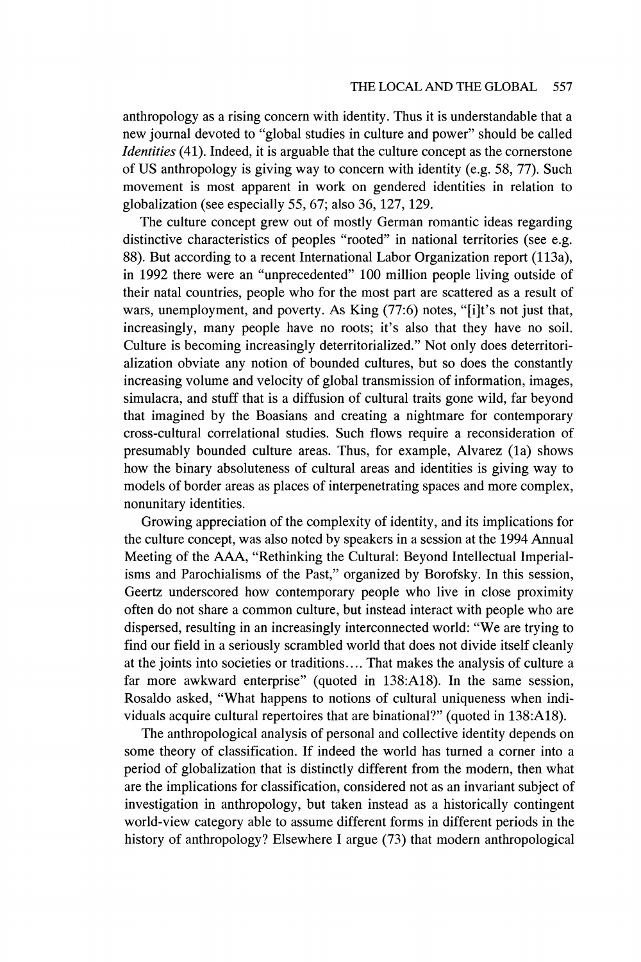anthropology as a rising concern with identity. Thus it is understandable that a new journal devoted to "global studies in culture and power" should be called *Identities* (41). Indeed, it is arguable that the culture concept as the cornerstone of US anthropology is giving way to concern with identity (e.g. 58, 77). Such movement is most apparent in work on gendered identities in relation to globalization (see especially 55, 67; also 36, 127, 129.

The culture concept grew out of mostly German romantic ideas regarding distinctive characteristics of peoples "rooted" in national territories (see e.g. 88). But according to a recent International Labor Organization report (113a), in 1992 there were an "unprecedented" 100 million people living outside of their natal countries, people who for the most part are scattered as a result of wars, unemployment, and poverty. As King (77:6) notes, "[i]t's not just that, increasingly, many people have no roots; it's also that they have no soil. Culture is becoming increasingly deterritorialized." Not only does deterritorialization obviate any notion of bounded cultures, but so does the constantly increasing volume and velocity of global transmission of information, images, simulacra, and stuff that is a diffusion of cultural traits gone wild, far beyond that imagined by the Boasians and creating a nightmare for contemporary cross-cultural correlational studies. Such flows require a reconsideration of presumably bounded culture areas. Thus, for example, Alvarez (1a) shows how the binary absoluteness of cultural areas and identities is giving way to models of border areas as places of interpenetrating spaces and more complex, nonunitary identities.

Growing appreciation of the complexity of identity, and its implications for the culture concept, was also noted by speakers in a session at the 1994 Annual Meeting of the AAA, "Rethinking the Cultural: Beyond Intellectual Imperialisms and Parochialisms of the Past," organized by Borofsky. In this session, Geertz underscored how contemporary people who live in close proximity often do not share a common culture, but instead interact with people who are dispersed, resulting in an increasingly interconnected world: "We are trying to find our field in a seriously scrambled world that does not divide itself cleanly at the joints into societies or traditions.... That makes the analysis of culture a far more awkward enterprise" (quoted in 138:A18). In the same session, Rosaldo asked, "What happens to notions of cultural uniqueness when individuals acquire cultural repertoires that are binational?" (quoted in 138:A18).

The anthropological analysis of personal and collective identity depends on some theory of classification. If indeed the world has turned a corner into a period of globalization that is distinctly different from the modern, then what are the implications for classification, considered not as an invariant subject of investigation in anthropology, but taken instead as a historically contingent world-view category able to assume different forms in different periods in the history of anthropology? Elsewhere I argue (73) that modern anthropological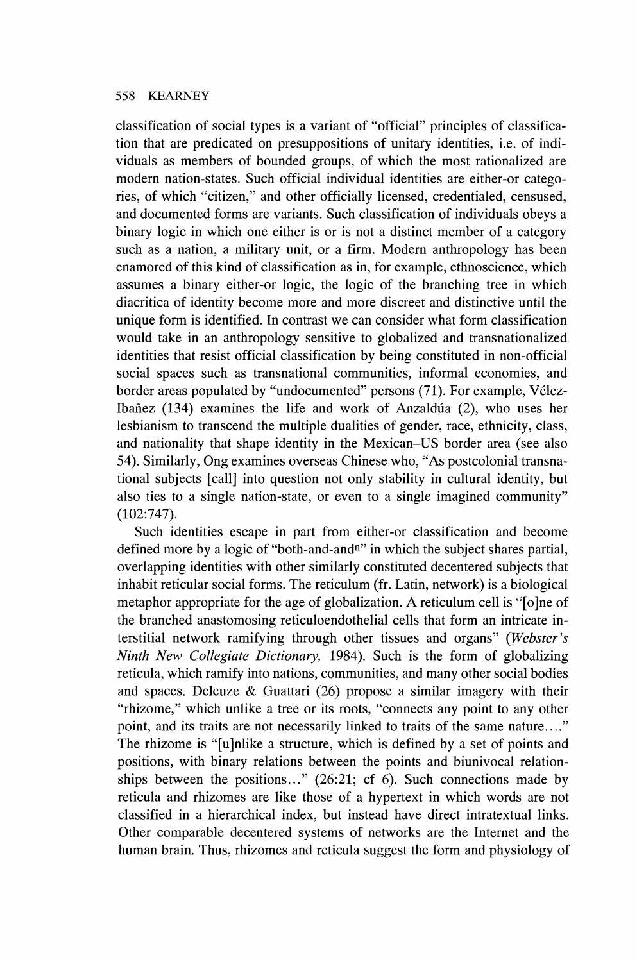classification of social types is a variant of "official" principles of classification that are predicated on presuppositions of unitary identities, i.e. of individuals as members of bounded groups, of which the most rationalized are modern nation-states. Such official individual identities are either-or categories, of which "citizen," and other officially licensed, credentialed, censused, and documented forms are variants. Such classification of individuals obeys a binary logic in which one either is or is not a distinct member of a category such as a nation, a military unit, or a firm. Modern anthropology has been enamored of this kind of classification as in, for example, ethnoscience, which assumes a binary either-or logic, the logic of the branching tree in which diacritica of identity become more and more discreet and distinctive until the unique form is identified. In contrast we can consider what form classification would take in an anthropology sensitive to globalized and transnationalized identities that resist official classification by being constituted in non-official social spaces such as transnational communities, informal economies, and border areas populated by "undocumented" persons (71). For example, Vélez-Ibañez (134) examines the life and work of Anzaldúa (2), who uses her lesbianism to transcend the multiple dualities of gender, race, ethnicity, class, and nationality that shape identity in the Mexican-US border area (see also 54). Similarly, Ong examines overseas Chinese who, "As postcolonial transnational subjects [call] into question not only stability in cultural identity, but also ties to a single nation-state, or even to a single imagined community"  $(102:747).$ 

Such identities escape in part from either-or classification and become defined more by a logic of "both-and-and<sup>n</sup>" in which the subject shares partial, overlapping identities with other similarly constituted decentered subjects that inhabit reticular social forms. The reticulum (fr. Latin, network) is a biological metaphor appropriate for the age of globalization. A reticulum cell is "[o]ne of the branched anastomosing reticuloendothelial cells that form an intricate interstitial network ramifying through other tissues and organs" (Webster's Ninth New Collegiate Dictionary, 1984). Such is the form of globalizing reticula, which ramify into nations, communities, and many other social bodies and spaces. Deleuze  $\&$  Guattari (26) propose a similar imagery with their "rhizome," which unlike a tree or its roots, "connects any point to any other point, and its traits are not necessarily linked to traits of the same nature...." The rhizome is "[u]nlike a structure, which is defined by a set of points and positions, with binary relations between the points and biunivocal relationships between the positions..."  $(26:21;$  cf 6). Such connections made by reticula and rhizomes are like those of a hypertext in which words are not classified in a hierarchical index, but instead have direct intratextual links. Other comparable decentered systems of networks are the Internet and the human brain. Thus, rhizomes and reticula suggest the form and physiology of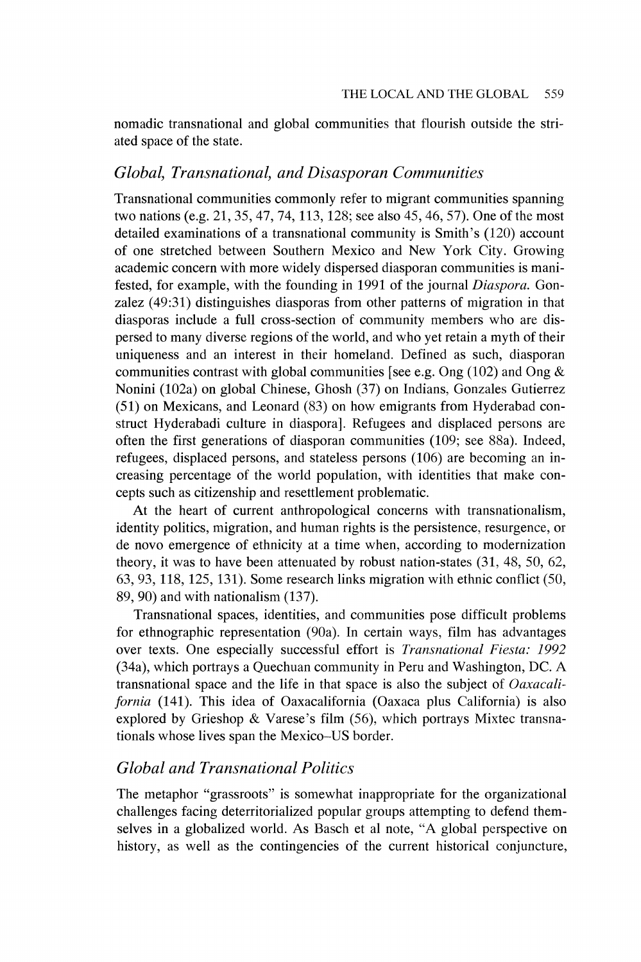nomadic transnational and global communities that flourish outside the striated space of the state.

## Global, Transnational, and Disasporan Communities

Transnational communities commonly refer to migrant communities spanning two nations (e.g. 21, 35, 47, 74, 113, 128; see also 45, 46, 57). One of the most detailed examinations of a transnational community is Smith's (120) account of one stretched between Southern Mexico and New York City. Growing academic concern with more widely dispersed diasporan communities is manifested, for example, with the founding in 1991 of the journal Diaspora. Gonzalez (49:31) distinguishes diasporas from other patterns of migration in that diasporas include a full cross-section of community members who are dispersed to many diverse regions of the world, and who yet retain a myth of their uniqueness and an interest in their homeland. Defined as such, diasporan communities contrast with global communities [see e.g. Ong  $(102)$  and Ong & Nonini (102a) on global Chinese, Ghosh (37) on Indians, Gonzales Gutierrez (51) on Mexicans, and Leonard (83) on how emigrants from Hyderabad construct Hyderabadi culture in diaspora]. Refugees and displaced persons are often the first generations of diasporan communities (109; see 88a). Indeed, refugees, displaced persons, and stateless persons (106) are becoming an increasing percentage of the world population, with identities that make concepts such as citizenship and resettlement problematic.

At the heart of current anthropological concerns with transnationalism, identity politics, migration, and human rights is the persistence, resurgence, or de novo emergence of ethnicity at a time when, according to modernization theory, it was to have been attenuated by robust nation-states (31, 48, 50, 62, 63, 93, 118, 125, 131). Some research links migration with ethnic conflict (50, 89, 90) and with nationalism (137).

Transnational spaces, identities, and communities pose difficult problems for ethnographic representation (90a). In certain ways, film has advantages over texts. One especially successful effort is Transnational Fiesta: 1992 (34a), which portrays a Quechuan community in Peru and Washington, DC. A transnational space and the life in that space is also the subject of *Oaxacali*fornia (141). This idea of Oaxacalifornia (Oaxaca plus California) is also explored by Grieshop & Varese's film (56), which portrays Mixtec transnationals whose lives span the Mexico-US border.

## **Global and Transnational Politics**

The metaphor "grassroots" is somewhat inappropriate for the organizational challenges facing deterritorialized popular groups attempting to defend themselves in a globalized world. As Basch et al note, "A global perspective on history, as well as the contingencies of the current historical conjuncture,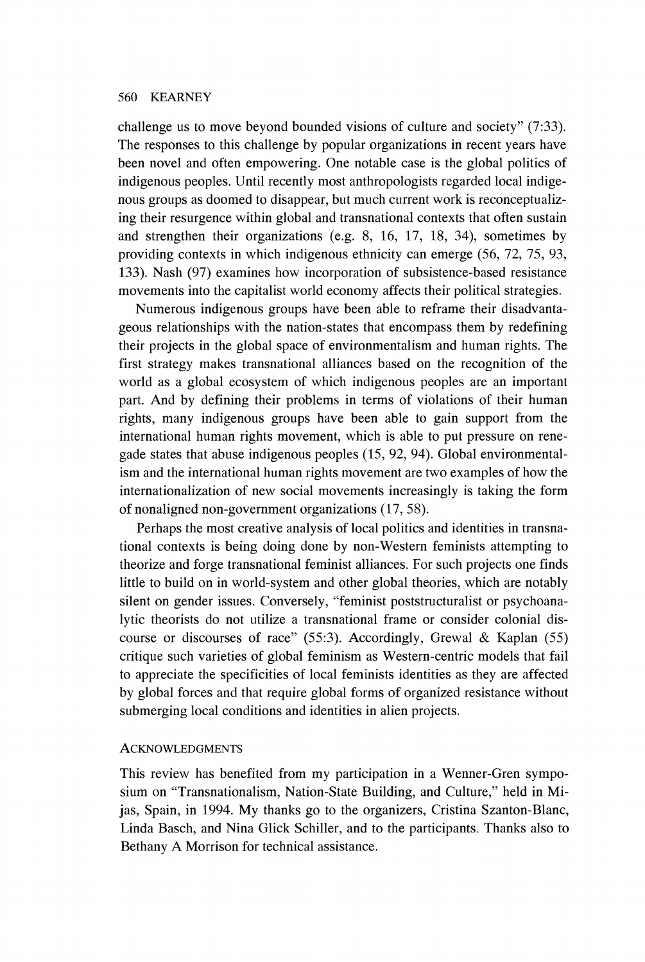challenge us to move beyond bounded visions of culture and society"  $(7:33)$ . The responses to this challenge by popular organizations in recent years have been novel and often empowering. One notable case is the global politics of indigenous peoples. Until recently most anthropologists regarded local indigenous groups as doomed to disappear, but much current work is reconceptualizing their resurgence within global and transnational contexts that often sustain and strengthen their organizations (e.g. 8, 16, 17, 18, 34), sometimes by providing contexts in which indigenous ethnicity can emerge (56, 72, 75, 93, 133). Nash (97) examines how incorporation of subsistence-based resistance movements into the capitalist world economy affects their political strategies.

Numerous indigenous groups have been able to reframe their disadvantageous relationships with the nation-states that encompass them by redefining their projects in the global space of environmentalism and human rights. The first strategy makes transnational alliances based on the recognition of the world as a global ecosystem of which indigenous peoples are an important part. And by defining their problems in terms of violations of their human rights, many indigenous groups have been able to gain support from the international human rights movement, which is able to put pressure on renegade states that abuse indigenous peoples (15, 92, 94). Global environmentalism and the international human rights movement are two examples of how the internationalization of new social movements increasingly is taking the form of nonaligned non-government organizations (17, 58).

Perhaps the most creative analysis of local politics and identities in transnational contexts is being doing done by non-Western feminists attempting to theorize and forge transnational feminist alliances. For such projects one finds little to build on in world-system and other global theories, which are notably silent on gender issues. Conversely, "feminist poststructuralist or psychoanalytic theorists do not utilize a transnational frame or consider colonial discourse or discourses of race" (55:3). Accordingly, Grewal & Kaplan (55) critique such varieties of global feminism as Western-centric models that fail to appreciate the specificities of local feminists identities as they are affected by global forces and that require global forms of organized resistance without submerging local conditions and identities in alien projects.

#### **ACKNOWLEDGMENTS**

This review has benefited from my participation in a Wenner-Gren symposium on "Transnationalism, Nation-State Building, and Culture," held in Mijas, Spain, in 1994. My thanks go to the organizers, Cristina Szanton-Blanc, Linda Basch, and Nina Glick Schiller, and to the participants. Thanks also to Bethany A Morrison for technical assistance.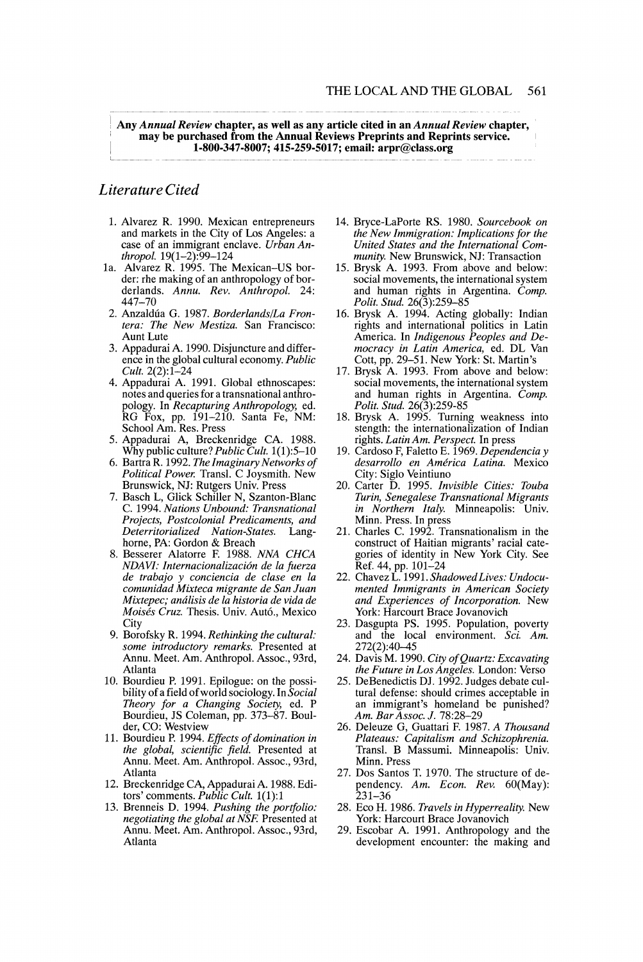Any Annual Review chapter, as well as any article cited in an Annual Review chapter, may be purchased from the Annual Reviews Preprints and Reprints service. 1-800-347-8007; 415-259-5017; email: arpr@class.org

### Literature Cited

- 1. Alvarez R. 1990. Mexican entrepreneurs and markets in the City of Los Angeles: a case of an immigrant enclave. Urban Anthropol. 19(1-2):99-124
- 1a. Alvarez R. 1995. The Mexican-US border: rhe making of an anthropology of borderlands. Annu. Rev. Anthropol. 24: 447-70
- 2. Anzaldúa G. 1987. Borderlands/La Frontera: The New Mestiza. San Francisco: Aunt Lute
- 3. Appadurai A. 1990. Disjuncture and difference in the global cultural economy. Public Cult.  $2(2):1-24$
- 4. Appadurai A. 1991. Global ethnoscapes: notes and queries for a transnational anthropology. In Recapturing Anthropology, ed. RG Fox, pp. 191-210. Santa Fe, NM: School Am. Res. Press
- 5. Appadurai A, Breckenridge CA. 1988. Why public culture? Public Cult.  $1(1):5-10$
- 6. Bartra R. 1992. The Imaginary Networks of Political Power. Transl. C Joysmith. New Brunswick, NJ: Rutgers Univ. Press
- 7. Basch L, Glick Schiller N, Szanton-Blanc C. 1994. Nations Unbound: Transnational Projects, Postcolonial Predicaments, and Deterritorialized Nation-States. Langhorne, PA: Gordon & Breach
- 8. Besserer Alatorre F. 1988. NNA CHCA NDAVI: Internacionalización de la fuerza de trabajo y conciencia de clase en la comunidad Mixteca migrante de San Juan Mixtepec; análisis de la historia de vida de Moisés Cruz. Thesis. Univ. Autó., Mexico City
- 9. Borofsky R. 1994. Rethinking the cultural: some introductory remarks. Presented at Annu. Meet. Am. Anthropol. Assoc., 93rd, Atlanta
- 10. Bourdieu P. 1991. Epilogue: on the possibility of a field of world sociology. In Social Theory for a Changing Society, ed. P Bourdieu, JS Coleman, pp. 373-87. Boulder, CO: Westview
- 11. Bourdieu P. 1994. Effects of domination in the global, scientific field. Presented at Annu. Meet. Am. Anthropol. Assoc., 93rd, Atlanta
- 12. Breckenridge CA, Appadurai A. 1988. Editors' comments. Public Cult.  $1(1)$ :1
- 13. Brenneis D. 1994. Pushing the portfolio: negotiating the global at NSF. Presented at Annu. Meet. Am. Anthropol. Assoc., 93rd, Atlanta
- 14. Bryce-LaPorte RS. 1980. Sourcebook on the New Immigration: Implications for the United States and the International Community. New Brunswick, NJ: Transaction
- 15. Brysk A. 1993. From above and below: social movements, the international system and human rights in Argentina. Comp. Polit. Stud. 26(3):259–85
- 16. Brysk A. 1994. Acting globally: Indian rights and international politics in Latin America. In Indigenous Peoples and Democracy in Latin America, ed. DL Van Cott, pp. 29-51. New York: St. Martin's
- 17. Brysk A. 1993. From above and below: social movements, the international system and human rights in Argentina. Comp.
- Polit. Stud. 26(3):259-85<br>18. Brysk A. 1995. Turning weakness into<br>tength: the internationalization of Indian rights. Latin Am. Perspect. In press
- 19. Cardoso F, Faletto E. 1969. Dependencia y desarrollo en América Latina. Mexico<br>City: Siglo Veintiuno
- 20. Carter D. 1995. Invisible Cities: Touba Turin, Senegalese Transnational Migrants in Northern Italy. Minneapolis: Univ. Minn. Press. In press<br>21. Charles C. 1992. Transnationalism in the
- construct of Haitian migrants' racial categories of identity in New York City. See Ref. 44, pp. 101–24
- 22. Chavez L. 1991. Shadowed Lives: Undocumented Immigrants in American Society and Experiences of Incorporation. New York: Harcourt Brace Jovanovich
- 23. Dasgupta PS. 1995. Population, poverty and the local environment. Sci. Am. 272(2):40-45
- 24. Davis M. 1990. City of Quartz: Excavating the Future in Los Angeles. London: Verso
- 25. DeBenedictis DJ. 1992. Judges debate cultural defense: should crimes acceptable in an immigrant's homeland be punished? Am. Bar Assoc. J. 78:28-29
- 26. Deleuze G, Guattari F. 1987. A Thousand Plateaus: Capitalism and Schizophrenia. Transl. B Massumi. Minneapolis: Univ. Minn. Press
- 27. Dos Santos T. 1970. The structure of dependency. Am. Econ. Rev.  $60$ (May):  $231 - 36$
- 28. Eco H. 1986. Travels in Hyperreality. New York: Harcourt Brace Jovanovich
- 29. Escobar A. 1991. Anthropology and the development encounter: the making and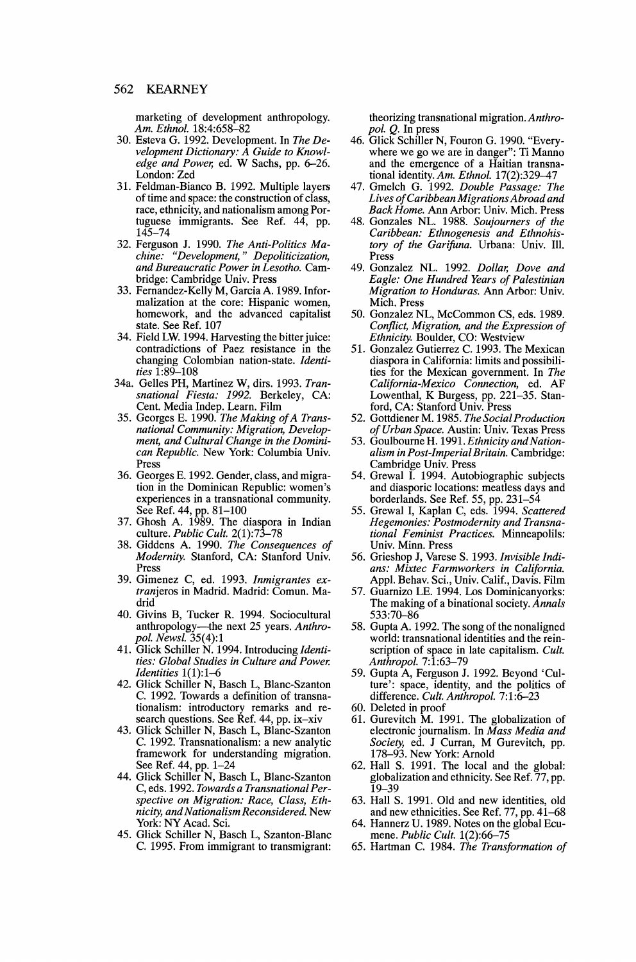marketing of development anthropology. Am. Ethnol. 18:4:658-82

- 30. Esteva G. 1992. Development. In The Development Dictionary: A Guide to Knowledge and Power, ed. W Sachs, pp. 6-26. London: Zed
- 31. Feldman-Bianco B. 1992. Multiple lavers of time and space: the construction of class, race, ethnicity, and nationalism among Portuguese immigrants. See Ref. 44, pp.  $145 - 74$
- 32. Ferguson J. 1990. The Anti-Politics Machine: "Development," Depoliticization,<br>and Bureaucratic Power in Lesotho. Cambridge: Cambridge Univ. Press
- 33. Fernandez-Kelly M, Garcia A. 1989. Informalization at the core: Hispanic women, homework, and the advanced capitalist state. See Ref. 107
- 34. Field LW. 1994. Harvesting the bitter juice: contradictions of Paez resistance in the changing Colombian nation-state. Identities  $1:89-108$
- 34a. Gelles PH, Martinez W, dirs. 1993. Transnational Fiesta: 1992. Berkeley, CA: Cent. Media Indep. Learn. Film
- 35. Georges E. 1990. The Making of A Transnational Community: Migration, Development, and Cultural Change in the Dominican Republic. New York: Columbia Univ. Press
- 36. Georges E. 1992. Gender, class, and migration in the Dominican Republic: women's experiences in a transnational community. See Ref. 44, pp. 81-100<br>37. Ghosh A. 1989. The diaspora in Indian
- culture. Public Cult. 2(1):73-78
- 38. Giddens A. 1990. The Consequences of Modernity. Stanford, CA: Stanford Univ. Press
- 39. Gimenez C, ed. 1993. Inmigrantes extranjeros in Madrid. Madrid: Comun. Madrid
- 40. Givins B, Tucker R, 1994. Sociocultural anthropology-the next 25 years. Anthropol. Newsl. 35(4):1
- 41. Glick Schiller N. 1994. Introducing Identities: Global Studies in Culture and Power. *Identities* 1(1):1–6
- 42. Glick Schiller N, Basch L, Blanc-Szanton C. 1992. Towards a definition of transnationalism: introductory remarks and research questions. See Ref. 44, pp. ix-xiv
- 43. Glick Schiller N, Basch L, Blanc-Szanton C. 1992. Transnationalism: a new analytic framework for understanding migration. See Ref. 44, pp. 1–24
- 44. Glick Schiller N, Basch L, Blanc-Szanton C, eds. 1992. Towards a Transnational Perspective on Migration: Race, Class, Ethnicity, and Nationalism Reconsidered. New York: NY Acad. Sci.
- 45. Glick Schiller N, Basch L, Szanton-Blanc C. 1995. From immigrant to transmigrant:

theorizing transnational migration. Anthropol. Q. In press

- 46. Glick Schiller N, Fouron G. 1990. "Everywhere we go we are in danger": Ti Manno and the emergence of a Haitian transnational identity. Am. Ethnol.  $17(2):329-47$
- 47. Gmelch G. 1992. Double Passage: The Lives of Caribbean Migrations Abroad and Back Home. Ann Arbor: Univ. Mich. Press
- 48. Gonzales NL. 1988. Soujourners of the Caribbean: Ethnogenesis and Ethnohistory of the Garifuna. Urbana: Univ. Ill. Press
- 49. Gonzalez NL. 1992. Dollar, Dove and Eagle: One Hundred Years of Palestinian Migration to Honduras. Ann Arbor: Univ. Mich. Press
- 50. Gonzalez NL, McCommon CS, eds. 1989. Conflict, Migration, and the Expression of Ethnicity. Boulder, CO: Westview
- 51. Gonzalez Gutierrez C. 1993. The Mexican diaspora in California: limits and possibilities for the Mexican government. In The California-Mexico Connection, ed. AF Lowenthal, K Burgess, pp. 221-35. Stanford, CA: Stanford Univ. Press
- 52. Gottdiener M. 1985. The Social Production of Urban Space. Austin: Univ. Texas Press
- 53. Goulbourne H. 1991. Ethnicity and Nationalism in Post-Imperial Britain. Cambridge: Cambridge Univ. Press
- 54. Grewal I. 1994. Autobiographic subjects and diasporic locations: meatless days and borderlands. See Ref. 55, pp. 231-54
- 55. Grewal I, Kaplan C, eds. 1994. Scattered Hegemonies: Postmodernity and Transnational Feminist Practices. Minneapolils: Univ. Minn. Press
- 56. Grieshop J, Varese S. 1993. Invisible Indians: Mixtec Farmworkers in California. Appl. Behav. Sci., Univ. Calif., Davis. Film
- 57. Guarnizo LE. 1994. Los Dominicanyorks: The making of a binational society. Annals 533:70-86
- 58. Gupta A. 1992. The song of the nonaligned world: transnational identities and the reinscription of space in late capitalism. Cult. Anthropol. 7:1:63-79
- 59. Gupta A, Ferguson J. 1992. Beyond 'Culture': space, identity, and the politics of difference. Cult. Anthropol. 7:1:6-23
- 60. Deleted in proof
- 61. Gurevitch M. 1991. The globalization of electronic journalism. In Mass Media and Society, ed. J Curran, M Gurevitch, pp. 178-93. New York: Arnold
- 62. Hall S. 1991. The local and the global: globalization and ethnicity. See Ref. 77, pp.  $19 - 39$
- 63. Hall S. 1991. Old and new identities, old and new ethnicities. See Ref. 77, pp. 41-68
- Hannerz U. 1989. Notes on the global Ecumene. *Public Cult.* 1(2):66–75
- 65. Hartman C. 1984. The Transformation of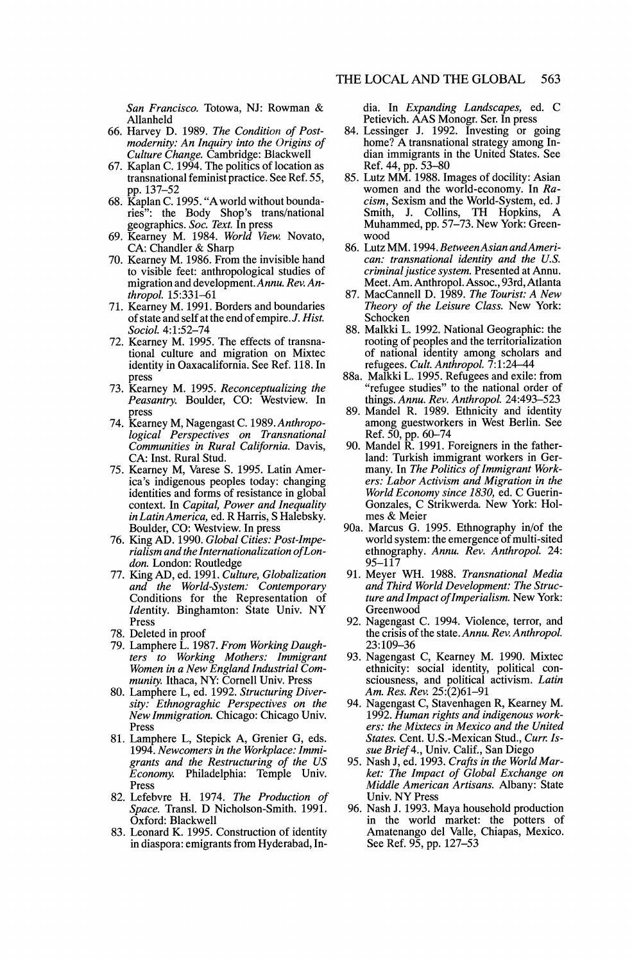San Francisco. Totowa, NJ: Rowman & Allanheld

- 66. Harvey D. 1989. The Condition of Postmodernity: An Inquiry into the Origins of Culture Change. Cambridge: Blackwell
- 67. Kaplan C. 1994. The politics of location as transnational feminist practice. See Ref. 55, pp. 137–52
- 68. Kaplan C. 1995. "A world without boundaries": the Body Shop's trans/national geographics. Soc. Text. In press
- 69. Kearney M. 1984. World View. Novato, CA: Chandler & Sharp
- 70. Kearney M. 1986. From the invisible hand to visible feet: anthropological studies of migration and development. Annu. Rev. Anthropol. 15:331-61
- 71. Kearney M. 1991. Borders and boundaries of state and self at the end of empire. J. Hist. Sociol. 4:1:52-74
- 72. Kearney M. 1995. The effects of transnational culture and migration on Mixtec identity in Oaxacalifornia. See Ref. 118. In oress
- 73. Kearney M. 1995. Reconceptualizing the Peasantry. Boulder, CO: Westview. In press
- 74. Kearney M, Nagengast C. 1989. Anthropological Perspectives on Transnational Communities in Rural California. Davis, CA: Inst. Rural Stud.
- 75. Kearney M, Varese S. 1995. Latin America's indigenous peoples today: changing identities and forms of resistance in global context. In Capital, Power and Inequality in Latin America, ed. R Harris, S Halebsky. Boulder, CO: Westview. In press
- 76. King AD. 1990. Global Cities: Post-Imperialism and the Internationalization of London. London: Routledge
- 77. King AD, ed. 1991. Culture, Globalization and the World-System: Contemporary Conditions for the Representation of *Identity*. Binghamton: State Univ. NY Press
- 78. Deleted in proof
- 79. Lamphere L. 1987. From Working Daughters to Working Mothers: Immigrant Women in a New England Industrial Community. Ithaca, NY: Cornell Univ. Press
- 80. Lamphere L, ed. 1992. Structuring Diversity: Ethnograghic Perspectives on the New Immigration. Chicago: Chicago Univ. Press
- 81. Lamphere L, Stepick A, Grenier G, eds. 1994. Newcomers in the Workplace: Immigrants and the Restructuring of the US Economy. Philadelphia: Temple Univ. Press
- 82. Lefebvre H. 1974. The Production of Space. Transl. D Nicholson-Smith. 1991. Oxford: Blackwell
- 83. Leonard K. 1995. Construction of identity in diaspora: emigrants from Hyderabad, In-

dia. In Expanding Landscapes, ed. C Petievich. AAS Monogr. Ser. In press

- 84. Lessinger J. 1992. Investing or going home? A transnational strategy among Indian immigrants in the United States. See Ref. 44, pp. 53-80
- 85. Lutz MM. 1988. Images of docility: Asian women and the world-economy. In Racism, Sexism and the World-System, ed. J Smith, J. Collins, TH Hopkins, A<br>Muhammed, pp. 57–73. New York: Greenwood
- 86. Lutz MM. 1994. Between Asian and American: transnational identity and the U.S. criminal justice system. Presented at Annu. Meet. Am. Anthropol. Assoc., 93rd, Atlanta
- 87. MacCannell D. 1989. The Tourist: A New Theory of the Leisure Class. New York: Schocken
- 88. Malkki L. 1992. National Geographic: the rooting of peoples and the territorialization of national identity among scholars and refugees. Cult. Anthropol. 7:1:24-44
- 88a. Malkki L. 1995. Refugees and exile: from "refugee studies" to the national order of things. Annu. Rev. Anthropol. 24:493–523
- 89. Mandel R. 1989. Ethnicity and identity among guestworkers in West Berlin. See Ref. 50, pp. 60-74
- 90. Mandel R. 1991. Foreigners in the fatherland: Turkish immigrant workers in Germany. In The Politics of Immigrant Workers: Labor Activism and Migration in the World Economy since 1830, ed. C Guerin-Gonzales, C Strikwerda. New York: Holmes & Meier
- 90a. Marcus G. 1995. Ethnography in/of the world system: the emergence of multi-sited ethnography. Annu. Rev. Anthropol. 24:  $95 - 117$
- 91. Mever WH. 1988. Transnational Media and Third World Development: The Structure and Impact of Imperialism. New York: Greenwood
- 92. Nagengast C. 1994. Violence, terror, and the crisis of the state. Annu. Rev. Anthropol. 23:109-36
- 93. Nagengast C, Kearney M. 1990. Mixtec ethnicity: social identity, political consciousness, and political activism. Latin Am. Res. Rev. 25:(2)61–91
- 94. Nagengast C, Stavenhagen R, Kearney M. 1992. Human rights and indigenous workers: the Mixtecs in Mexico and the United States. Cent. U.S.-Mexican Stud., Curr. Issue Brief 4., Univ. Calif., San Diego
- 95. Nash J, ed. 1993. Crafts in the World Market: The Impact of Global Exchange on Middle American Artisans. Albany: State **Univ. NY Press**
- 96. Nash J. 1993. Maya household production in the world market: the potters of Amatenango del Valle, Chiapas, Mexico. See Ref. 95, pp. 127–53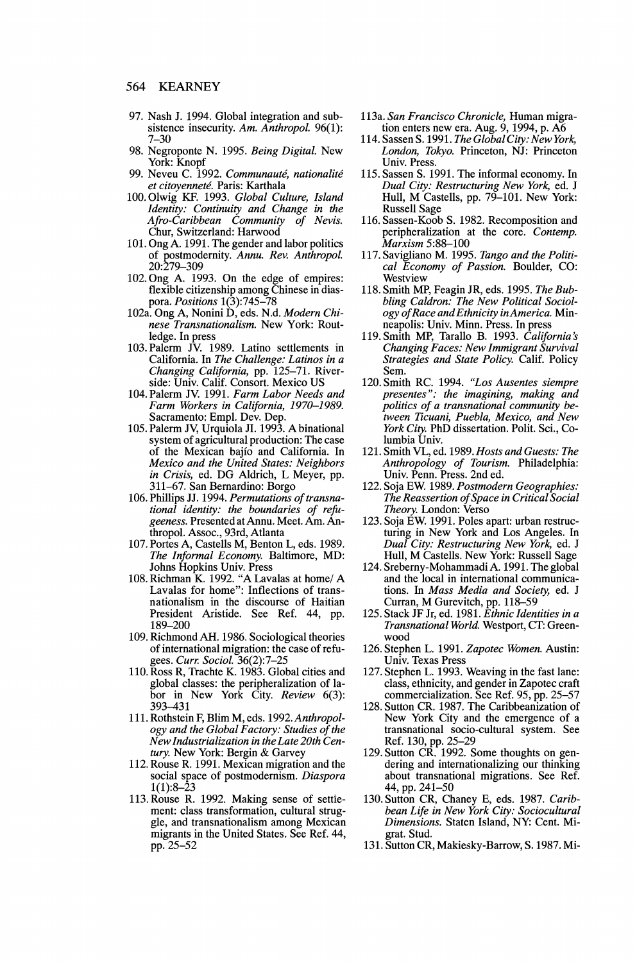- 97. Nash J. 1994. Global integration and subsistence insecurity. Am. Anthropol. 96(1):  $7 - 30$
- 98. Negroponte N. 1995. Being Digital. New York: Knopf
- 99. Neveu C. 1992. Communauté, nationalité et citoyenneté. Paris: Karthala
- 100. Olwig KF. 1993. Global Culture, Island Identity: Continuity and Change in the Afro-Caribbean Community of Nevis. Chur, Switzerland: Harwood
- 101. Ong A. 1991. The gender and labor politics of postmodernity. Annu. Rev. Anthropol. 20:279-309
- 102. Ong A. 1993. On the edge of empires: flexible citizenship among Chinese in diaspora. Positions 1(3):745-78
- 102a. Ong A, Nonini D, eds. N.d. Modern Chinese Transnationalism. New York: Routledge. In press
- 103. Palerm JV. 1989. Latino settlements in California. In The Challenge: Latinos in a Changing California, pp. 125-71. Riverside: Univ. Calif. Consort. Mexico US
- 104. Palerm JV. 1991. Farm Labor Needs and Farm Workers in California, 1970-1989. Sacramento: Empl. Dev. Dep.
- 105. Palerm JV, Urquiola JI. 1993. A binational system of agricultural production: The case of the Mexican bajío and California. In Mexico and the United States: Neighbors in Crisis, ed. DG Aldrich, L Meyer, pp. 311-67. San Bernardino: Borgo
- 106. Phillips JJ. 1994. Permutations of transnational identity: the boundaries of refugeeness. Presented at Annu. Meet. Am. Anthropol. Assoc., 93rd, Atlanta
- 107. Portes A, Castells M, Benton L, eds. 1989. The Informal Economy. Baltimore, MD: Johns Hopkins Univ. Press
- 108. Richman K. 1992. "A Lavalas at home/ A<br>Lavalas for home": Inflections of transnationalism in the discourse of Haitian President Aristide. See Ref. 44, pp. 189-200
- 109. Richmond AH. 1986. Sociological theories of international migration: the case of refugees. Curr. Sociol. 36(2):7–25
- 110. Ross R, Trachte K. 1983. Global cities and global classes: the peripheralization of labor in New York City. Review 6(3): 393-431
- 111. Rothstein F, Blim M, eds. 1992. Anthropology and the Global Factory: Studies of the New Industrialization in the Late 20th Century. New York: Bergin & Garvey
- 112. Rouse R. 1991. Mexican migration and the social space of postmodernism. Diaspora  $1(1):8-23$
- 113. Rouse R. 1992. Making sense of settlement: class transformation, cultural struggle, and transnationalism among Mexican migrants in the United States. See Ref. 44, pp. 25-52
- 113a. San Francisco Chronicle, Human migration enters new era. Aug. 9, 1994, p. A6
- 114. Sassen S. 1991. The Global City: New York, London, Tokyo. Princeton, NJ: Princeton **Univ. Press**
- 115. Sassen S. 1991. The informal economy. In Dual City: Restructuring New York, ed. J<br>Hull, M Castells, pp. 79-101. New York: **Russell Sage**
- 116. Sassen-Koob S. 1982. Recomposition and peripheralization at the core. Contemp. Marxism 5:88-100
- 117. Savigliano M. 1995. Tango and the Political Economy of Passion. Boulder, CO: Westview
- 118. Smith MP, Feagin JR, eds. 1995. The Bubbling Caldron: The New Political Sociol-<br>ogy of Race and Ethnicity in America. Minneapolis: Univ. Minn. Press. In press
- 119. Smith MP. Tarallo B. 1993. California's **Changing Faces: New Immigrant Survival** Strategies and State Policy. Calif. Policy Sem.
- 120. Smith RC. 1994. "Los Ausentes siempre presentes": the imagining, making and politics of a transnational community between Ticuani, Puebla, Mexico, and New *York City.* PhD dissertation. Polit. Sci., Columbia Univ.
- 121. Smith VL, ed. 1989. Hosts and Guests: The Anthropology of Tourism. Philadelphia: Univ. Penn. Press. 2nd ed.
- 122. Soja EW. 1989. Postmodern Geographies: The Reassertion of Space in Critical Social Theory. London: Verso
- 123. Soja EW. 1991. Poles apart: urban restructuring in New York and Los Angeles. In Dual City: Restructuring New York, ed. J Hull, M Castells. New York: Russell Sage
- 124. Sreberny-Mohammadi A. 1991. The global and the local in international communications. In Mass Media and Society, ed. J Curran, M Gurevitch, pp. 118-59<br>125. Stack JF Jr, ed. 1981. Ethnic Identities in a
- Transnational World. Westport, CT: Greenwood
- 126. Stephen L. 1991. Zapotec Women. Austin: Univ. Texas Press
- 127. Stephen L. 1993. Weaving in the fast lane: class, ethnicity, and gender in Zapotec craft commercialization. See Ref. 95, pp. 25-57
- 128. Sutton CR. 1987. The Caribbeanization of New York City and the emergence of a transnational socio-cultural system. See Ref. 130, pp. 25-29
- 129. Sutton CR. 1992. Some thoughts on gendering and internationalizing our thinking about transnational migrations. See Ref. 44, pp. 241-50
- 130. Sutton CR, Chaney E, eds. 1987. Caribbean Life in New York City: Sociocultural Dimensions. Staten Island, NY: Cent. Migrat. Stud.
- 131. Sutton CR, Makiesky-Barrow, S. 1987. Mi-